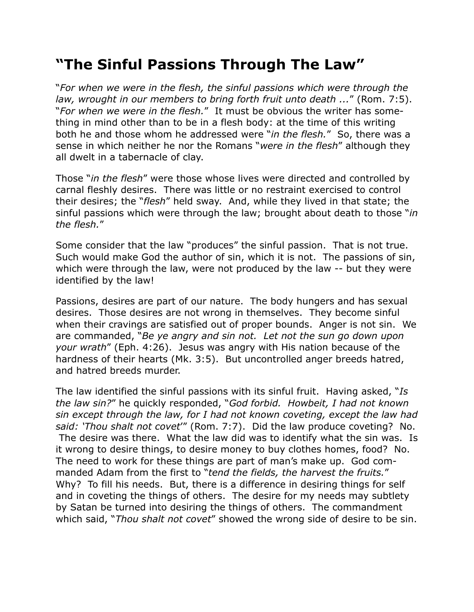## **"The Sinful Passions Through The Law"**

"*For when we were in the flesh, the sinful passions which were through the law, wrought in our members to bring forth fruit unto death ...*" (Rom. 7:5). "*For when we were in the flesh.*" It must be obvious the writer has something in mind other than to be in a flesh body: at the time of this writing both he and those whom he addressed were "*in the flesh.*" So, there was a sense in which neither he nor the Romans "*were in the flesh*" although they all dwelt in a tabernacle of clay.

Those "*in the flesh*" were those whose lives were directed and controlled by carnal fleshly desires. There was little or no restraint exercised to control their desires; the "*flesh*" held sway. And, while they lived in that state; the sinful passions which were through the law; brought about death to those "*in the flesh.*"

Some consider that the law "produces" the sinful passion. That is not true. Such would make God the author of sin, which it is not. The passions of sin, which were through the law, were not produced by the law -- but they were identified by the law!

Passions, desires are part of our nature. The body hungers and has sexual desires. Those desires are not wrong in themselves. They become sinful when their cravings are satisfied out of proper bounds. Anger is not sin. We are commanded, "*Be ye angry and sin not. Let not the sun go down upon your wrath*" (Eph. 4:26). Jesus was angry with His nation because of the hardness of their hearts (Mk. 3:5). But uncontrolled anger breeds hatred, and hatred breeds murder.

The law identified the sinful passions with its sinful fruit. Having asked, "*Is the law sin?*" he quickly responded, "*God forbid. Howbeit, I had not known sin except through the law, for I had not known coveting, except the law had said: 'Thou shalt not covet*'" (Rom. 7:7). Did the law produce coveting? No. The desire was there. What the law did was to identify what the sin was. Is it wrong to desire things, to desire money to buy clothes homes, food? No. The need to work for these things are part of man's make up. God commanded Adam from the first to "*tend the fields, the harvest the fruits.*" Why? To fill his needs. But, there is a difference in desiring things for self and in coveting the things of others. The desire for my needs may subtlety by Satan be turned into desiring the things of others. The commandment which said, "*Thou shalt not covet*" showed the wrong side of desire to be sin.